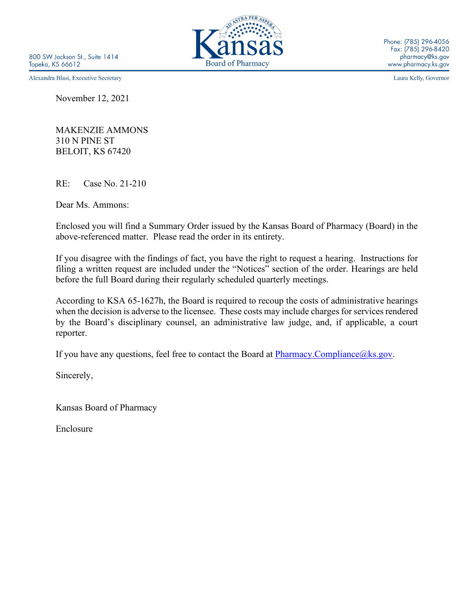800 SW Jackson St., Suite 1414 Topeka, KS 66612

Alexandra Blasi, Executive Secretary

November 12, 2021

MAKENZIE AMMONS 310 N PINE ST BELOIT, KS 67420

RE: Case No. 21-210

Dear Ms. Ammons:

Enclosed you will find a Summary Order issued by the Kansas Board of Pharmacy (Board) in the above-referenced matter. Please read the order in its entirety.

If you disagree with the findings of fact, you have the right to request a hearing. Instructions for filing a written request are included under the "Notices" section of the order. Hearings are held before the full Board during their regularly scheduled quarterly meetings.

According to KSA 65-1627h, the Board is required to recoup the costs of administrative hearings when the decision is adverse to the licensee. These costs may include charges for services rendered by the Board's disciplinary counsel, an administrative law judge, and, if applicable, a court reporter.

If you have any questions, feel free to contact the Board at  $\frac{Pharmacy. Compliance@ks.gov.}{}$ 

Sincerely,

Kansas Board of Pharmacy

Enclosure



Laura Kelly, Governor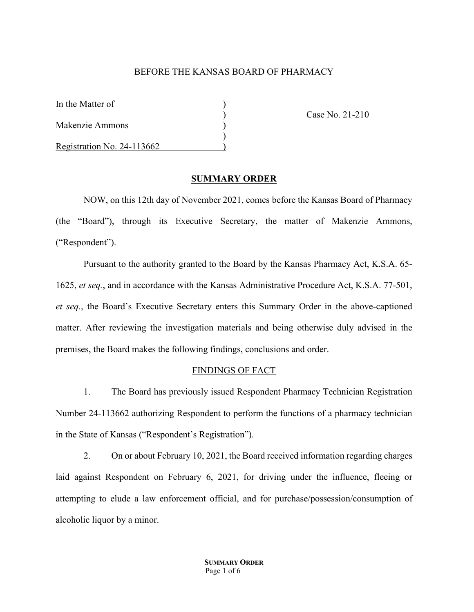## BEFORE THE KANSAS BOARD OF PHARMACY

| In the Matter of           |  |
|----------------------------|--|
| Makenzie Ammons            |  |
| Registration No. 24-113662 |  |

) Case No. 21-210

#### **SUMMARY ORDER**

NOW, on this 12th day of November 2021, comes before the Kansas Board of Pharmacy (the "Board"), through its Executive Secretary, the matter of Makenzie Ammons, ("Respondent").

Pursuant to the authority granted to the Board by the Kansas Pharmacy Act, K.S.A. 65- 1625, *et seq.*, and in accordance with the Kansas Administrative Procedure Act, K.S.A. 77-501, *et seq.*, the Board's Executive Secretary enters this Summary Order in the above-captioned matter. After reviewing the investigation materials and being otherwise duly advised in the premises, the Board makes the following findings, conclusions and order.

#### FINDINGS OF FACT

1. The Board has previously issued Respondent Pharmacy Technician Registration Number 24-113662 authorizing Respondent to perform the functions of a pharmacy technician in the State of Kansas ("Respondent's Registration").

2. On or about February 10, 2021, the Board received information regarding charges laid against Respondent on February 6, 2021, for driving under the influence, fleeing or attempting to elude a law enforcement official, and for purchase/possession/consumption of alcoholic liquor by a minor.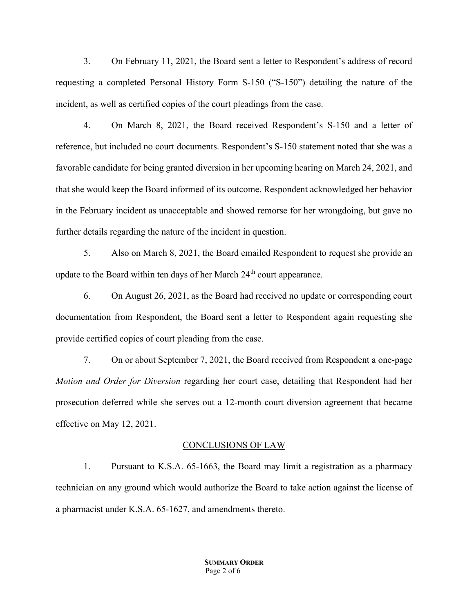3. On February 11, 2021, the Board sent a letter to Respondent's address of record requesting a completed Personal History Form S-150 ("S-150") detailing the nature of the incident, as well as certified copies of the court pleadings from the case.

4. On March 8, 2021, the Board received Respondent's S-150 and a letter of reference, but included no court documents. Respondent's S-150 statement noted that she was a favorable candidate for being granted diversion in her upcoming hearing on March 24, 2021, and that she would keep the Board informed of its outcome. Respondent acknowledged her behavior in the February incident as unacceptable and showed remorse for her wrongdoing, but gave no further details regarding the nature of the incident in question.

5. Also on March 8, 2021, the Board emailed Respondent to request she provide an update to the Board within ten days of her March  $24<sup>th</sup>$  court appearance.

6. On August 26, 2021, as the Board had received no update or corresponding court documentation from Respondent, the Board sent a letter to Respondent again requesting she provide certified copies of court pleading from the case.

7. On or about September 7, 2021, the Board received from Respondent a one-page *Motion and Order for Diversion* regarding her court case, detailing that Respondent had her prosecution deferred while she serves out a 12-month court diversion agreement that became effective on May 12, 2021.

#### CONCLUSIONS OF LAW

1. Pursuant to K.S.A. 65-1663, the Board may limit a registration as a pharmacy technician on any ground which would authorize the Board to take action against the license of a pharmacist under K.S.A. 65-1627, and amendments thereto.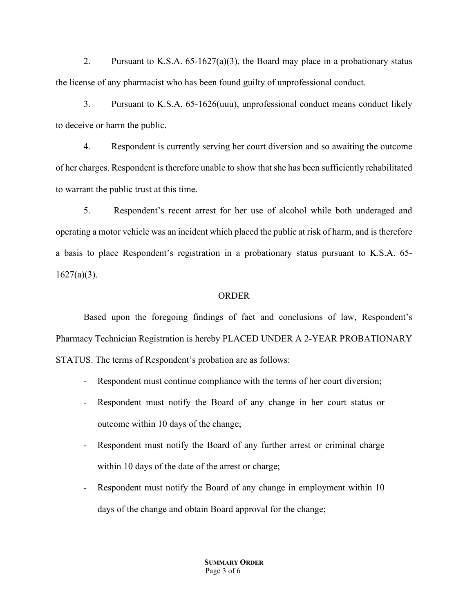2. Pursuant to K.S.A.  $65$ -1627(a)(3), the Board may place in a probationary status the license of any pharmacist who has been found guilty of unprofessional conduct.

3. Pursuant to K.S.A. 65-1626(uuu), unprofessional conduct means conduct likely to deceive or harm the public.

4. Respondent is currently serving her court diversion and so awaiting the outcome of her charges. Respondent is therefore unable to show that she has been sufficiently rehabilitated to warrant the public trust at this time.

5. Respondent's recent arrest for her use of alcohol while both underaged and operating a motor vehicle was an incident which placed the public at risk of harm, and is therefore a basis to place Respondent's registration in a probationary status pursuant to K.S.A. 65-  $1627(a)(3)$ .

## ORDER

Based upon the foregoing findings of fact and conclusions of law, Respondent's Pharmacy Technician Registration is hereby PLACED UNDER A 2-YEAR PROBATIONARY STATUS. The terms of Respondent's probation are as follows:

- Respondent must continue compliance with the terms of her court diversion;
- Respondent must notify the Board of any change in her court status or outcome within 10 days of the change;
- Respondent must notify the Board of any further arrest or criminal charge within 10 days of the date of the arrest or charge;
- Respondent must notify the Board of any change in employment within 10 days of the change and obtain Board approval for the change;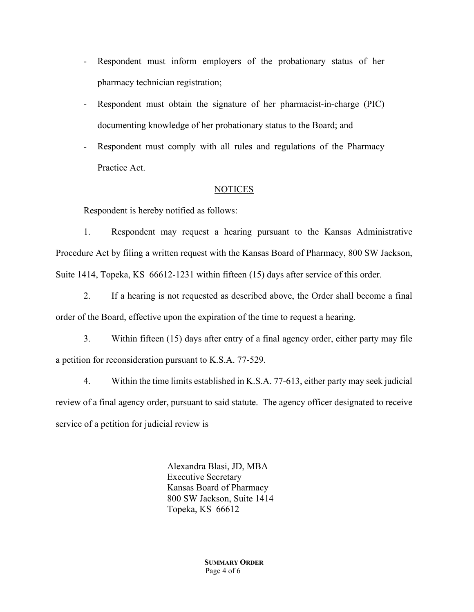- Respondent must inform employers of the probationary status of her pharmacy technician registration;
- Respondent must obtain the signature of her pharmacist-in-charge (PIC) documenting knowledge of her probationary status to the Board; and
- Respondent must comply with all rules and regulations of the Pharmacy Practice Act.

## NOTICES

Respondent is hereby notified as follows:

1. Respondent may request a hearing pursuant to the Kansas Administrative Procedure Act by filing a written request with the Kansas Board of Pharmacy, 800 SW Jackson, Suite 1414, Topeka, KS 66612-1231 within fifteen (15) days after service of this order.

2. If a hearing is not requested as described above, the Order shall become a final order of the Board, effective upon the expiration of the time to request a hearing.

3. Within fifteen (15) days after entry of a final agency order, either party may file a petition for reconsideration pursuant to K.S.A. 77-529.

4. Within the time limits established in K.S.A. 77-613, either party may seek judicial review of a final agency order, pursuant to said statute. The agency officer designated to receive service of a petition for judicial review is

> Alexandra Blasi, JD, MBA Executive Secretary Kansas Board of Pharmacy 800 SW Jackson, Suite 1414 Topeka, KS 66612

> > **SUMMARY ORDER** Page 4 of 6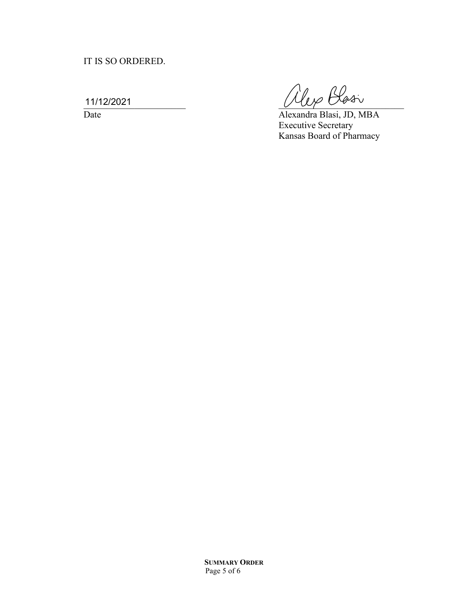# IT IS SO ORDERED.

11/12/2021

 $\frac{11/12/2021}{\text{Date}}$   $\frac{(\mathcal{U}_{\ell} \beta \mathcal{L}_{\varphi} \mathcal{L}_{\varphi})}{\text{Alexandera Blasi, JD, M}}$ 

Alexandra Blasi, JD, MBA Executive Secretary Kansas Board of Pharmacy